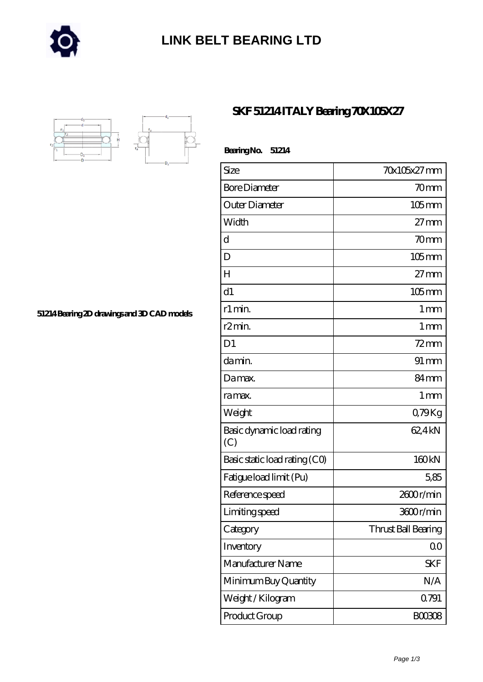

## **[LINK BELT BEARING LTD](https://merionartblog.com)**



**[51214 Bearing 2D drawings and 3D CAD models](https://merionartblog.com/pic-249439.html)**

## **[SKF 51214 ITALY Bearing 70X105X27](https://merionartblog.com/bh-249439-skf-51214-italy-bearing-70x105x27.html)**

| Bearing No.<br>51214             |                     |
|----------------------------------|---------------------|
| Size                             | 70x105x27 mm        |
| <b>Bore Diameter</b>             | 70mm                |
| Outer Diameter                   | $105$ mm            |
| Width                            | $27 \text{mm}$      |
| d                                | 70 <sub>mm</sub>    |
| D                                | $105$ mm            |
| H                                | $27 \text{mm}$      |
| d1                               | $105$ mm            |
| r1 min.                          | 1 <sub>mm</sub>     |
| r <sub>2</sub> min.              | $1 \,\mathrm{mm}$   |
| D <sub>1</sub>                   | $72$ mm             |
| da min.                          | $91 \,\mathrm{mm}$  |
| Da max.                          | 84mm                |
| ra max.                          | $1 \,\mathrm{mm}$   |
| Weight                           | Q79Kg               |
| Basic dynamic load rating<br>(C) | 62,4kN              |
| Basic static load rating (CO)    | 160 <sub>kN</sub>   |
| Fatigue load limit (Pu)          | 5.85                |
| Reference speed                  | 2600r/min           |
| Limiting speed                   | 3600r/min           |
| Category                         | Thrust Ball Bearing |
| Inventory                        | 0 <sub>0</sub>      |
| Manufacturer Name                | <b>SKF</b>          |
| Minimum Buy Quantity             | N/A                 |
| Weight / Kilogram                | 0.791               |
| Product Group                    | <b>BOO3O8</b>       |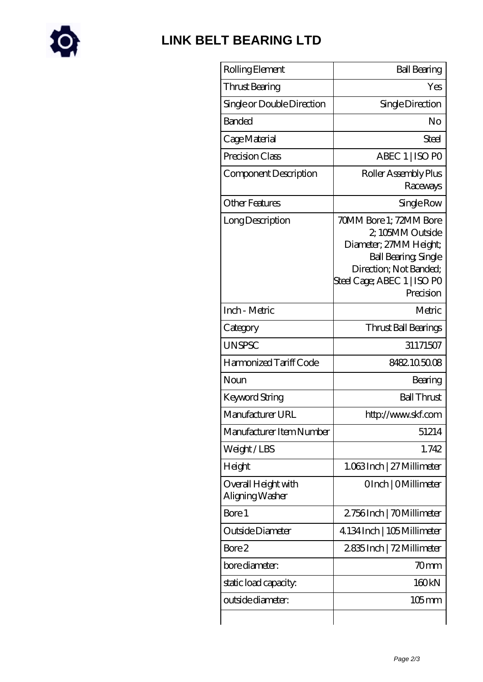

## **[LINK BELT BEARING LTD](https://merionartblog.com)**

| Rolling Element                        | <b>Ball Bearing</b>                                                                                                                                                       |
|----------------------------------------|---------------------------------------------------------------------------------------------------------------------------------------------------------------------------|
| Thrust Bearing                         | Yes                                                                                                                                                                       |
| Single or Double Direction             | Single Direction                                                                                                                                                          |
| <b>Banded</b>                          | No                                                                                                                                                                        |
| Cage Material                          | Steel                                                                                                                                                                     |
| Precision Class                        | ABEC 1   ISO PO                                                                                                                                                           |
| Component Description                  | Roller Assembly Plus<br>Raceways                                                                                                                                          |
| <b>Other Features</b>                  | Single Row                                                                                                                                                                |
| Long Description                       | 70MM Bore 1; 72MM Bore<br>2, 105MM Outside<br>Diameter; 27MM Height;<br><b>Ball Bearing, Single</b><br>Direction; Not Banded;<br>Steel Cage; ABEC 1   ISO PO<br>Precision |
| Inch - Metric                          | Metric                                                                                                                                                                    |
| Category                               | Thrust Ball Bearings                                                                                                                                                      |
| <b>UNSPSC</b>                          | 31171507                                                                                                                                                                  |
| Harmonized Tariff Code                 | 8482105008                                                                                                                                                                |
| Noun                                   | Bearing                                                                                                                                                                   |
| Keyword String                         | <b>Ball Thrust</b>                                                                                                                                                        |
| Manufacturer URL                       | http://www.skf.com                                                                                                                                                        |
| Manufacturer Item Number               | 51214                                                                                                                                                                     |
| Weight/LBS                             | 1.742                                                                                                                                                                     |
| Height                                 | 1.063Inch   27 Millimeter                                                                                                                                                 |
| Overall Height with<br>Aligning Washer | OInch   OMillimeter                                                                                                                                                       |
| Bore 1                                 | 2.756Inch   70Millimeter                                                                                                                                                  |
| Outside Diameter                       | 4.134 Inch   105 Millimeter                                                                                                                                               |
| Bore 2                                 | 2835Inch   72 Millimeter                                                                                                                                                  |
| bore diameter:                         | 70mm                                                                                                                                                                      |
| static load capacity.                  | 160 <sub>kN</sub>                                                                                                                                                         |
| outside diameter:                      | $105$ mm                                                                                                                                                                  |
|                                        |                                                                                                                                                                           |